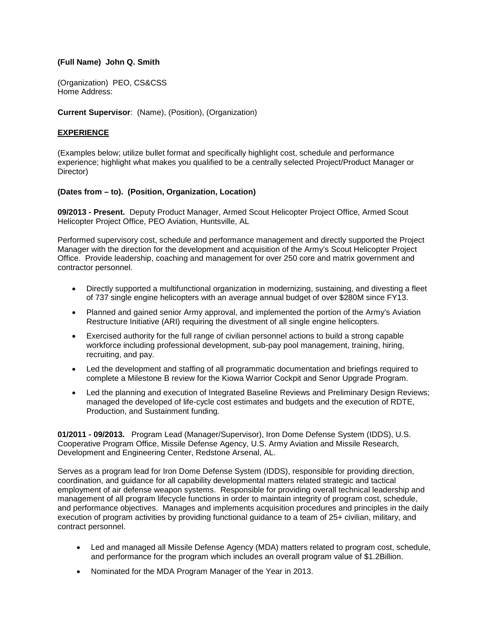## **(Full Name) John Q. Smith**

(Organization) PEO, CS&CSS Home Address:

**Current Supervisor**: (Name), (Position), (Organization)

### **EXPERIENCE**

(Examples below; utilize bullet format and specifically highlight cost, schedule and performance experience; highlight what makes you qualified to be a centrally selected Project/Product Manager or Director)

### **(Dates from – to). (Position, Organization, Location)**

**09/2013 - Present.** Deputy Product Manager, Armed Scout Helicopter Project Office, Armed Scout Helicopter Project Office, PEO Aviation, Huntsville, AL

Performed supervisory cost, schedule and performance management and directly supported the Project Manager with the direction for the development and acquisition of the Army's Scout Helicopter Project Office. Provide leadership, coaching and management for over 250 core and matrix government and contractor personnel.

- Directly supported a multifunctional organization in modernizing, sustaining, and divesting a fleet of 737 single engine helicopters with an average annual budget of over \$280M since FY13.
- Planned and gained senior Army approval, and implemented the portion of the Army's Aviation Restructure Initiative (ARI) requiring the divestment of all single engine helicopters.
- Exercised authority for the full range of civilian personnel actions to build a strong capable workforce including professional development, sub-pay pool management, training, hiring, recruiting, and pay.
- Led the development and staffing of all programmatic documentation and briefings required to complete a Milestone B review for the Kiowa Warrior Cockpit and Senor Upgrade Program.
- Led the planning and execution of Integrated Baseline Reviews and Preliminary Design Reviews; managed the developed of life-cycle cost estimates and budgets and the execution of RDTE, Production, and Sustainment funding.

**01/2011 - 09/2013.** Program Lead (Manager/Supervisor), Iron Dome Defense System (IDDS), U.S. Cooperative Program Office, Missile Defense Agency, U.S. Army Aviation and Missile Research, Development and Engineering Center, Redstone Arsenal, AL.

Serves as a program lead for Iron Dome Defense System (IDDS), responsible for providing direction, coordination, and guidance for all capability developmental matters related strategic and tactical employment of air defense weapon systems. Responsible for providing overall technical leadership and management of all program lifecycle functions in order to maintain integrity of program cost, schedule, and performance objectives. Manages and implements acquisition procedures and principles in the daily execution of program activities by providing functional guidance to a team of 25+ civilian, military, and contract personnel.

- Led and managed all Missile Defense Agency (MDA) matters related to program cost, schedule, and performance for the program which includes an overall program value of \$1.2Billion.
- Nominated for the MDA Program Manager of the Year in 2013.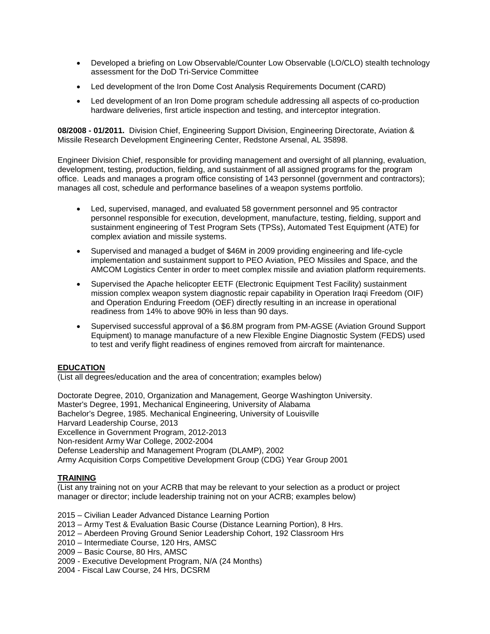- Developed a briefing on Low Observable/Counter Low Observable (LO/CLO) stealth technology assessment for the DoD Tri-Service Committee
- Led development of the Iron Dome Cost Analysis Requirements Document (CARD)
- Led development of an Iron Dome program schedule addressing all aspects of co-production hardware deliveries, first article inspection and testing, and interceptor integration.

**08/2008 - 01/2011.** Division Chief, Engineering Support Division, Engineering Directorate, Aviation & Missile Research Development Engineering Center, Redstone Arsenal, AL 35898.

Engineer Division Chief, responsible for providing management and oversight of all planning, evaluation, development, testing, production, fielding, and sustainment of all assigned programs for the program office. Leads and manages a program office consisting of 143 personnel (government and contractors); manages all cost, schedule and performance baselines of a weapon systems portfolio.

- Led, supervised, managed, and evaluated 58 government personnel and 95 contractor personnel responsible for execution, development, manufacture, testing, fielding, support and sustainment engineering of Test Program Sets (TPSs), Automated Test Equipment (ATE) for complex aviation and missile systems.
- Supervised and managed a budget of \$46M in 2009 providing engineering and life-cycle implementation and sustainment support to PEO Aviation, PEO Missiles and Space, and the AMCOM Logistics Center in order to meet complex missile and aviation platform requirements.
- Supervised the Apache helicopter EETF (Electronic Equipment Test Facility) sustainment mission complex weapon system diagnostic repair capability in Operation Iraqi Freedom (OIF) and Operation Enduring Freedom (OEF) directly resulting in an increase in operational readiness from 14% to above 90% in less than 90 days.
- Supervised successful approval of a \$6.8M program from PM-AGSE (Aviation Ground Support Equipment) to manage manufacture of a new Flexible Engine Diagnostic System (FEDS) used to test and verify flight readiness of engines removed from aircraft for maintenance.

#### **EDUCATION**

(List all degrees/education and the area of concentration; examples below)

Doctorate Degree, 2010, Organization and Management, George Washington University. Master's Degree, 1991, Mechanical Engineering, University of Alabama Bachelor's Degree, 1985. Mechanical Engineering, University of Louisville Harvard Leadership Course, 2013 Excellence in Government Program, 2012-2013 Non-resident Army War College, 2002-2004 Defense Leadership and Management Program (DLAMP), 2002 Army Acquisition Corps Competitive Development Group (CDG) Year Group 2001

### **TRAINING**

(List any training not on your ACRB that may be relevant to your selection as a product or project manager or director; include leadership training not on your ACRB; examples below)

- 2015 Civilian Leader Advanced Distance Learning Portion
- 2013 Army Test & Evaluation Basic Course (Distance Learning Portion), 8 Hrs.
- 2012 Aberdeen Proving Ground Senior Leadership Cohort, 192 Classroom Hrs
- 2010 Intermediate Course, 120 Hrs, AMSC
- 2009 Basic Course, 80 Hrs, AMSC
- 2009 Executive Development Program, N/A (24 Months)
- 2004 Fiscal Law Course, 24 Hrs, DCSRM